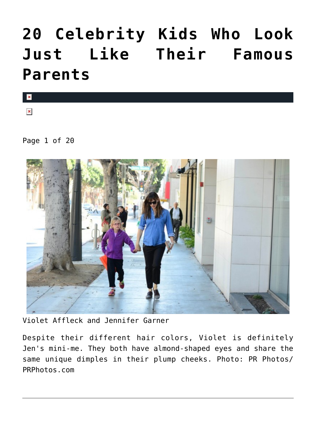# **[20 Celebrity Kids Who Look](https://cupidspulse.com/98414/celebrity-kids-who-look-like-famous-parents/) [Just Like Their Famous](https://cupidspulse.com/98414/celebrity-kids-who-look-like-famous-parents/) [Parents](https://cupidspulse.com/98414/celebrity-kids-who-look-like-famous-parents/)**

 $\vert \mathbf{x} \vert$ 

 $\pmb{\times}$ 

Page 1 of 20



Violet Affleck and Jennifer Garner

Despite their different hair colors, Violet is definitely Jen's mini-me. They both have almond-shaped eyes and share the same unique dimples in their plump cheeks. Photo: PR Photos/ PRPhotos.com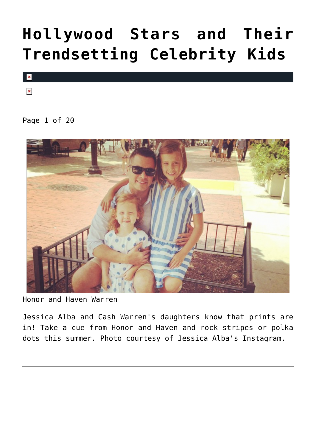# **[Hollywood Stars and Their](https://cupidspulse.com/94053/trendsetting-celebrity-kids/) [Trendsetting Celebrity Kids](https://cupidspulse.com/94053/trendsetting-celebrity-kids/)**



 $\pmb{\times}$ 

Page 1 of 20



Honor and Haven Warren

Jessica Alba and Cash Warren's daughters know that prints are in! Take a cue from Honor and Haven and rock stripes or polka dots this summer. Photo courtesy of Jessica Alba's Instagram.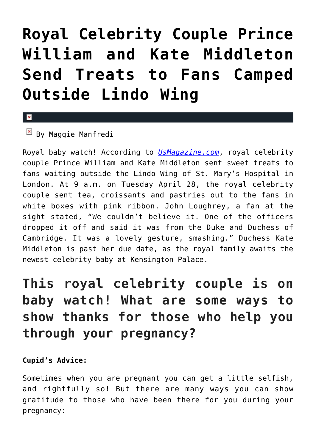# **[Royal Celebrity Couple Prince](https://cupidspulse.com/92175/royal-celebrity-couple-prince-william-and-kate-middleton-send-treats-to-fans-camped-outside-lindo-wing/) [William and Kate Middleton](https://cupidspulse.com/92175/royal-celebrity-couple-prince-william-and-kate-middleton-send-treats-to-fans-camped-outside-lindo-wing/) [Send Treats to Fans Camped](https://cupidspulse.com/92175/royal-celebrity-couple-prince-william-and-kate-middleton-send-treats-to-fans-camped-outside-lindo-wing/) [Outside Lindo Wing](https://cupidspulse.com/92175/royal-celebrity-couple-prince-william-and-kate-middleton-send-treats-to-fans-camped-outside-lindo-wing/)**

### $\mathbf{x}$

## $\boxed{\times}$  By Maggie Manfredi

Royal baby watch! According to *[UsMagazine.com](http://www.usmagazine.com/celebrity-news/news/kate-middleton-prince-william-send-fans-treats-lindo-wing-2015284)*, royal celebrity couple Prince William and Kate Middleton sent sweet treats to fans waiting outside the Lindo Wing of St. Mary's Hospital in London. At 9 a.m. on Tuesday April 28, the royal celebrity couple sent tea, croissants and pastries out to the fans in white boxes with pink ribbon. John Loughrey, a fan at the sight stated, "We couldn't believe it. One of the officers dropped it off and said it was from the Duke and Duchess of Cambridge. It was a lovely gesture, smashing." Duchess Kate Middleton is past her due date, as the royal family awaits the newest celebrity baby at Kensington Palace.

## **This royal celebrity couple is on baby watch! What are some ways to show thanks for those who help you through your pregnancy?**

## **Cupid's Advice:**

Sometimes when you are pregnant you can get a little selfish, and rightfully so! But there are many ways you can show gratitude to those who have been there for you during your pregnancy: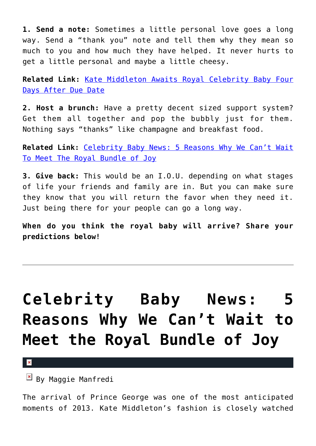**1. Send a note:** Sometimes a little personal love goes a long way. Send a "thank you" note and tell them why they mean so much to you and how much they have helped. It never hurts to get a little personal and maybe a little cheesy.

**Related Link:** [Kate Middleton Awaits Royal Celebrity Baby Four](http://cupidspulse.com/92134/kate-middleton-royal-celebrity-baby/) [Days After Due Date](http://cupidspulse.com/92134/kate-middleton-royal-celebrity-baby/)

**2. Host a brunch:** Have a pretty decent sized support system? Get them all together and pop the bubbly just for them. Nothing says "thanks" like champagne and breakfast food.

**Related Link:** [Celebrity Baby News: 5 Reasons Why We Can't Wait](http://cupidspulse.com/87878/celebrity-baby-news-royal-bundle-of-joy/) [To Meet The Royal Bundle of Joy](http://cupidspulse.com/87878/celebrity-baby-news-royal-bundle-of-joy/)

**3. Give back:** This would be an I.O.U. depending on what stages of life your friends and family are in. But you can make sure they know that you will return the favor when they need it. Just being there for your people can go a long way.

**When do you think the royal baby will arrive? Share your predictions below!** 

# **[Celebrity Baby News: 5](https://cupidspulse.com/87878/celebrity-baby-news-royal-bundle-of-joy/) [Reasons Why We Can't Wait to](https://cupidspulse.com/87878/celebrity-baby-news-royal-bundle-of-joy/) [Meet the Royal Bundle of Joy](https://cupidspulse.com/87878/celebrity-baby-news-royal-bundle-of-joy/)**

 $\pmb{\times}$ 

 $\mathbb{F}$  By Maggie Manfredi

The arrival of Prince George was one of the most anticipated moments of 2013. Kate Middleton's fashion is closely watched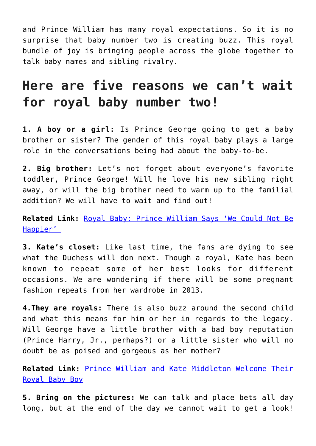and Prince William has many royal expectations. So it is no surprise that baby number two is creating buzz. This royal bundle of joy is bringing people across the globe together to talk baby names and sibling rivalry.

## **Here are five reasons we can't wait for royal baby number two!**

**1. A boy or a girl:** Is Prince George going to get a baby brother or sister? The gender of this royal baby plays a large role in the conversations being had about the baby-to-be.

**2. Big brother:** Let's not forget about everyone's favorite toddler, Prince George! Will he love his new sibling right away, or will the big brother need to warm up to the familial addition? We will have to wait and find out!

**Related Link:** [Royal Baby: Prince William Says 'We Could Not Be](http://cupidspulse.com/55095/prince-william-royal-baby/) [Happier'](http://cupidspulse.com/55095/prince-william-royal-baby/) 

**3. Kate's closet:** Like last time, the fans are dying to see what the Duchess will don next. Though a royal, Kate has been known to repeat some of her best looks for different occasions. We are wondering if there will be some pregnant fashion repeats from her wardrobe in 2013.

**4.They are royals:** There is also buzz around the second child and what this means for him or her in regards to the legacy. Will George have a little brother with a bad boy reputation (Prince Harry, Jr., perhaps?) or a little sister who will no doubt be as poised and gorgeous as her mother?

**Related Link:** [Prince William and Kate Middleton Welcome Their](http://cupidspulse.com/55018/prince-william-kate-middleton-baby-boy/) [Royal Baby Boy](http://cupidspulse.com/55018/prince-william-kate-middleton-baby-boy/)

**5. Bring on the pictures:** We can talk and place bets all day long, but at the end of the day we cannot wait to get a look!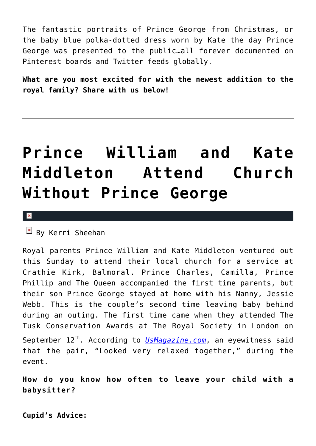The fantastic portraits of Prince George from Christmas, or the baby blue polka-dotted dress worn by Kate the day Prince George was presented to the public…all forever documented on Pinterest boards and Twitter feeds globally.

**What are you most excited for with the newest addition to the royal family? Share with us below!**

# **[Prince William and Kate](https://cupidspulse.com/58588/prince-william-kate-middleton-attend-church-without-prince-george/) [Middleton Attend Church](https://cupidspulse.com/58588/prince-william-kate-middleton-attend-church-without-prince-george/) [Without Prince George](https://cupidspulse.com/58588/prince-william-kate-middleton-attend-church-without-prince-george/)**

#### $\pmb{\times}$

 $\overline{B}$  By Kerri Sheehan

Royal parents Prince William and Kate Middleton ventured out this Sunday to attend their local church for a service at Crathie Kirk, Balmoral. Prince Charles, Camilla, Prince Phillip and The Queen accompanied the first time parents, but their son Prince George stayed at home with his Nanny, Jessie Webb. This is the couple's second time leaving baby behind during an outing. The first time came when they attended The Tusk Conservation Awards at The Royal Society in London on September 12<sup>th</sup>. According to *[UsMagazine.com](http://www.usmagazine.com/celebrity-news/news/kate-middleton-prince-william-attend-church-leave-prince-george-behind-for-second-time-2013229)*, an eyewitness said that the pair, "Looked very relaxed together," during the event.

**How do you know how often to leave your child with a babysitter?**

**Cupid's Advice:**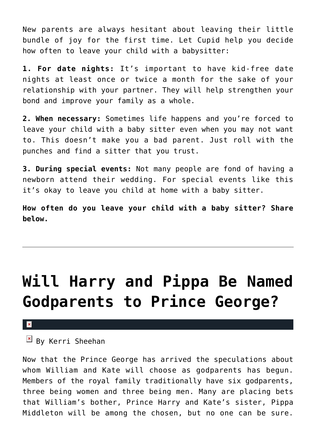New parents are always hesitant about leaving their little bundle of joy for the first time. Let Cupid help you decide how often to leave your child with a babysitter:

**1. For date nights:** It's important to have kid-free date nights at least once or twice a month for the sake of your relationship with your partner. They will help strengthen your bond and improve your family as a whole.

**2. When necessary:** Sometimes life happens and you're forced to leave your child with a baby sitter even when you may not want to. This doesn't make you a bad parent. Just roll with the punches and find a sitter that you trust.

**3. During special events:** Not many people are fond of having a newborn attend their wedding. For special events like this it's okay to leave you child at home with a baby sitter.

**How often do you leave your child with a baby sitter? Share below.**

# **[Will Harry and Pippa Be Named](https://cupidspulse.com/55383/prince-harry-pippa-middleton-named-godparents-prince-george/) [Godparents to Prince George?](https://cupidspulse.com/55383/prince-harry-pippa-middleton-named-godparents-prince-george/)**

#### $\mathbf x$

## $\mathbb{E}$  By Kerri Sheehan

Now that the Prince George has arrived the speculations about whom William and Kate will choose as godparents has begun. Members of the royal family traditionally have six godparents, three being women and three being men. Many are placing bets that William's bother, Prince Harry and Kate's sister, Pippa Middleton will be among the chosen, but no one can be sure.